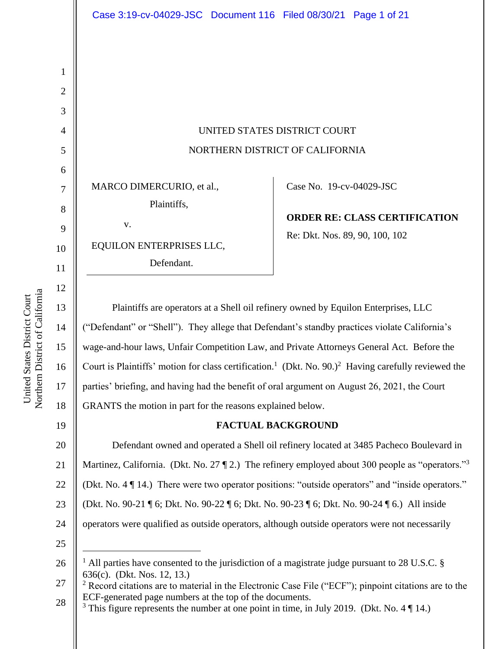UNITED STATES DISTRICT COURT NORTHERN DISTRICT OF CALIFORNIA

MARCO DIMERCURIO, et al.,

Plaintiffs,

v.

EQUILON ENTERPRISES LLC,

Defendant.

Case No. [19-cv-04029-JSC](https://ecf.cand.uscourts.gov/cgi-bin/DktRpt.pl?344740) 

**ORDER RE: CLASS CERTIFICATION** Re: Dkt. Nos. 89, 90, 100, 102

Plaintiffs are operators at a Shell oil refinery owned by Equilon Enterprises, LLC ("Defendant" or "Shell"). They allege that Defendant's standby practices violate California's wage-and-hour laws, Unfair Competition Law, and Private Attorneys General Act. Before the Court is Plaintiffs' motion for class certification.<sup>1</sup> (Dkt. No. 90.)<sup>2</sup> Having carefully reviewed the parties' briefing, and having had the benefit of oral argument on August 26, 2021, the Court GRANTS the motion in part for the reasons explained below.

## **FACTUAL BACKGROUND**

20 21 22 23 24 25 Defendant owned and operated a Shell oil refinery located at 3485 Pacheco Boulevard in Martinez, California. (Dkt. No. 27  $\S$  2.) The refinery employed about 300 people as "operators."<sup>3</sup> (Dkt. No. 4 ¶ 14.) There were two operator positions: "outside operators" and "inside operators." (Dkt. No. 90-21 ¶ 6; Dkt. No. 90-22 ¶ 6; Dkt. No. 90-23 ¶ 6; Dkt. No. 90-24 ¶ 6.) All inside operators were qualified as outside operators, although outside operators were not necessarily

<sup>3</sup> This figure represents the number at one point in time, in July 2019. (Dkt. No. 4  $\P$  14.)

1

2

3

4

5

6

7

8

9

10

11

12

13

14

15

16

17

18

<sup>26</sup> All parties have consented to the jurisdiction of a magistrate judge pursuant to 28 U.S.C. § 636(c). (Dkt. Nos. 12, 13.)

<sup>27</sup> 28 <sup>2</sup> Record citations are to material in the Electronic Case File ("ECF"); pinpoint citations are to the ECF-generated page numbers at the top of the documents.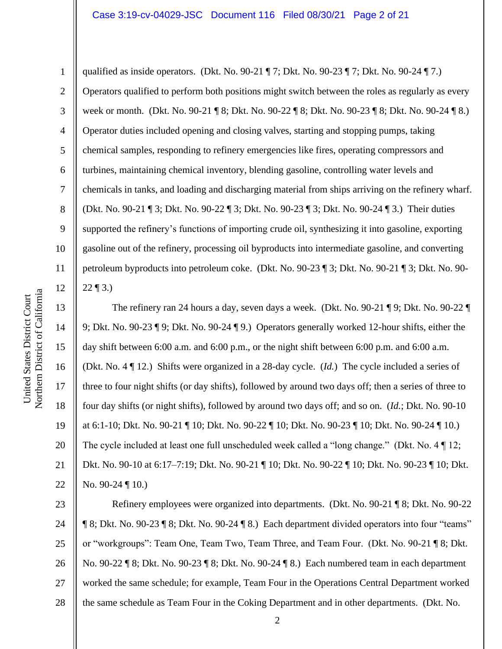#### Case 3:19-cv-04029-JSC Document 116 Filed 08/30/21 Page 2 of 21

qualified as inside operators. (Dkt. No. 90-21 ¶ 7; Dkt. No. 90-23 ¶ 7; Dkt. No. 90-24 ¶ 7.) Operators qualified to perform both positions might switch between the roles as regularly as every week or month. (Dkt. No. 90-21 ¶ 8; Dkt. No. 90-22 ¶ 8; Dkt. No. 90-23 ¶ 8; Dkt. No. 90-24 ¶ 8.) Operator duties included opening and closing valves, starting and stopping pumps, taking chemical samples, responding to refinery emergencies like fires, operating compressors and turbines, maintaining chemical inventory, blending gasoline, controlling water levels and chemicals in tanks, and loading and discharging material from ships arriving on the refinery wharf. (Dkt. No. 90-21 ¶ 3; Dkt. No. 90-22 ¶ 3; Dkt. No. 90-23 ¶ 3; Dkt. No. 90-24 ¶ 3.) Their duties supported the refinery's functions of importing crude oil, synthesizing it into gasoline, exporting gasoline out of the refinery, processing oil byproducts into intermediate gasoline, and converting petroleum byproducts into petroleum coke. (Dkt. No. 90-23 ¶ 3; Dkt. No. 90-21 ¶ 3; Dkt. No. 90-  $22 \, \text{T}$  3.)

The refinery ran 24 hours a day, seven days a week. (Dkt. No. 90-21 ¶ 9; Dkt. No. 90-22 ¶ 9; Dkt. No. 90-23 ¶ 9; Dkt. No. 90-24 ¶ 9.) Operators generally worked 12-hour shifts, either the day shift between 6:00 a.m. and 6:00 p.m., or the night shift between 6:00 p.m. and 6:00 a.m. (Dkt. No. 4 ¶ 12.) Shifts were organized in a 28-day cycle. (*Id.*) The cycle included a series of three to four night shifts (or day shifts), followed by around two days off; then a series of three to four day shifts (or night shifts), followed by around two days off; and so on. (*Id.*; Dkt. No. 90-10 at 6:1-10; Dkt. No. 90-21 ¶ 10; Dkt. No. 90-22 ¶ 10; Dkt. No. 90-23 ¶ 10; Dkt. No. 90-24 ¶ 10.) The cycle included at least one full unscheduled week called a "long change." (Dkt. No. 4 ¶ 12; Dkt. No. 90-10 at 6:17–7:19; Dkt. No. 90-21 ¶ 10; Dkt. No. 90-22 ¶ 10; Dkt. No. 90-23 ¶ 10; Dkt. No. 90-24  $\P$  10.)

23 24 25 26 27 28 Refinery employees were organized into departments. (Dkt. No. 90-21 ¶ 8; Dkt. No. 90-22 ¶ 8; Dkt. No. 90-23 ¶ 8; Dkt. No. 90-24 ¶ 8.) Each department divided operators into four "teams" or "workgroups": Team One, Team Two, Team Three, and Team Four. (Dkt. No. 90-21 ¶ 8; Dkt. No. 90-22 ¶ 8; Dkt. No. 90-23 ¶ 8; Dkt. No. 90-24 ¶ 8.) Each numbered team in each department worked the same schedule; for example, Team Four in the Operations Central Department worked the same schedule as Team Four in the Coking Department and in other departments. (Dkt. No.

1

2

3

4

5

6

7

8

9

10

11

12

13

14

15

16

17

18

19

20

21

22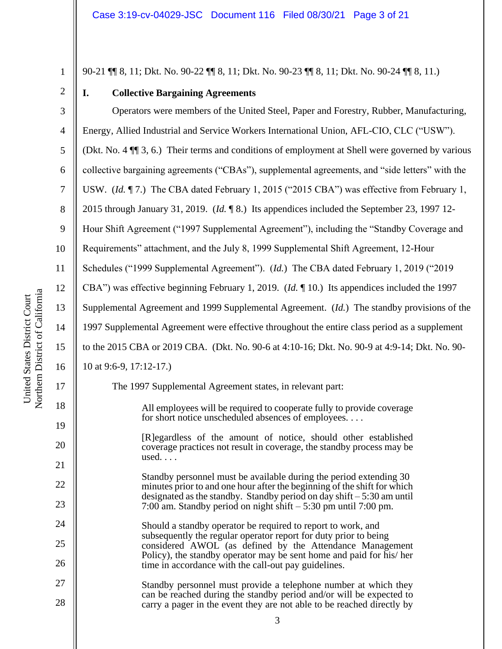90-21 ¶¶ 8, 11; Dkt. No. 90-22 ¶¶ 8, 11; Dkt. No. 90-23 ¶¶ 8, 11; Dkt. No. 90-24 ¶¶ 8, 11.)

| $^{\prime}$ |
|-------------|
| 3           |

1

**I. Collective Bargaining Agreements**

4 5 6 7 8 9 10 11 12 13 14 15 16 Operators were members of the United Steel, Paper and Forestry, Rubber, Manufacturing, Energy, Allied Industrial and Service Workers International Union, AFL-CIO, CLC ("USW"). (Dkt. No. 4 ¶¶ 3, 6.) Their terms and conditions of employment at Shell were governed by various collective bargaining agreements ("CBAs"), supplemental agreements, and "side letters" with the USW. (*Id.* ¶ 7.) The CBA dated February 1, 2015 ("2015 CBA") was effective from February 1, 2015 through January 31, 2019. (*Id.* ¶ 8.) Its appendices included the September 23, 1997 12- Hour Shift Agreement ("1997 Supplemental Agreement"), including the "Standby Coverage and Requirements" attachment, and the July 8, 1999 Supplemental Shift Agreement, 12-Hour Schedules ("1999 Supplemental Agreement"). (*Id.*) The CBA dated February 1, 2019 ("2019 CBA") was effective beginning February 1, 2019. (*Id.* ¶ 10.) Its appendices included the 1997 Supplemental Agreement and 1999 Supplemental Agreement. (*Id.*) The standby provisions of the 1997 Supplemental Agreement were effective throughout the entire class period as a supplement to the 2015 CBA or 2019 CBA. (Dkt. No. 90-6 at 4:10-16; Dkt. No. 90-9 at 4:9-14; Dkt. No. 90- 10 at 9:6-9, 17:12-17.)

The 1997 Supplemental Agreement states, in relevant part:

All employees will be required to cooperate fully to provide coverage for short notice unscheduled absences of employees. . . .

[R]egardless of the amount of notice, should other established coverage practices not result in coverage, the standby process may be used. . . .

Standby personnel must be available during the period extending 30 minutes prior to and one hour after the beginning of the shift for which designated as the standby. Standby period on day shift – 5:30 am until 7:00 am. Standby period on night shift – 5:30 pm until 7:00 pm.

Should a standby operator be required to report to work, and subsequently the regular operator report for duty prior to being considered AWOL (as defined by the Attendance Management Policy), the standby operator may be sent home and paid for his/ her time in accordance with the call-out pay guidelines.

27 28 Standby personnel must provide a telephone number at which they can be reached during the standby period and/or will be expected to carry a pager in the event they are not able to be reached directly by

17

18

19

20

21

22

23

24

25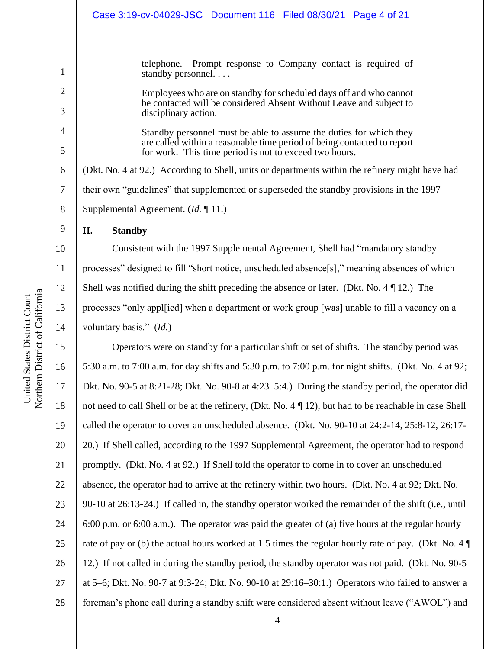|                | Case 3:19-cv-04029-JSC Document 116 Filed 08/30/21 Page 4 of 21                                                                   |
|----------------|-----------------------------------------------------------------------------------------------------------------------------------|
|                |                                                                                                                                   |
| 1              | telephone. Prompt response to Company contact is required of<br>standby personnel                                                 |
| $\overline{2}$ | Employees who are on standby for scheduled days off and who cannot                                                                |
| 3              | be contacted will be considered Absent Without Leave and subject to<br>disciplinary action.                                       |
| $\overline{4}$ | Standby personnel must be able to assume the duties for which they                                                                |
| 5              | are called within a reasonable time period of being contacted to report<br>for work. This time period is not to exceed two hours. |
| 6              | (Dkt. No. 4 at 92.) According to Shell, units or departments within the refinery might have had                                   |
| 7              | their own "guidelines" that supplemented or superseded the standby provisions in the 1997                                         |
| 8              | Supplemental Agreement. ( <i>Id.</i> $\P$ 11.)                                                                                    |
| 9              | <b>Standby</b><br>П.                                                                                                              |

10 11 12 13 14 Consistent with the 1997 Supplemental Agreement, Shell had "mandatory standby processes" designed to fill "short notice, unscheduled absence[s]," meaning absences of which Shell was notified during the shift preceding the absence or later. (Dkt. No. 4 ¶ 12.) The processes "only appl[ied] when a department or work group [was] unable to fill a vacancy on a voluntary basis." (*Id.*)

15 16 17 18 19 20 21 22 23 24 25 26 27 28 Operators were on standby for a particular shift or set of shifts. The standby period was 5:30 a.m. to 7:00 a.m. for day shifts and 5:30 p.m. to 7:00 p.m. for night shifts. (Dkt. No. 4 at 92; Dkt. No. 90-5 at 8:21-28; Dkt. No. 90-8 at 4:23–5:4.) During the standby period, the operator did not need to call Shell or be at the refinery, (Dkt. No. 4 ¶ 12), but had to be reachable in case Shell called the operator to cover an unscheduled absence. (Dkt. No. 90-10 at 24:2-14, 25:8-12, 26:17- 20.) If Shell called, according to the 1997 Supplemental Agreement, the operator had to respond promptly. (Dkt. No. 4 at 92.) If Shell told the operator to come in to cover an unscheduled absence, the operator had to arrive at the refinery within two hours. (Dkt. No. 4 at 92; Dkt. No. 90-10 at 26:13-24.) If called in, the standby operator worked the remainder of the shift (i.e., until 6:00 p.m. or 6:00 a.m.). The operator was paid the greater of (a) five hours at the regular hourly rate of pay or (b) the actual hours worked at 1.5 times the regular hourly rate of pay. (Dkt. No. 4 ¶ 12.) If not called in during the standby period, the standby operator was not paid. (Dkt. No. 90-5 at 5–6; Dkt. No. 90-7 at 9:3-24; Dkt. No. 90-10 at 29:16–30:1.) Operators who failed to answer a foreman's phone call during a standby shift were considered absent without leave ("AWOL") and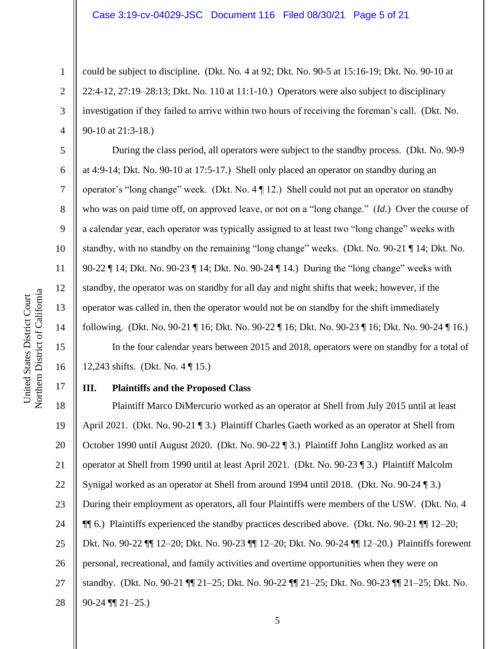could be subject to discipline. (Dkt. No. 4 at 92; Dkt. No. 90-5 at 15:16-19; Dkt. No. 90-10 at 22:4-12, 27:19–28:13; Dkt. No. 110 at 11:1-10.) Operators were also subject to disciplinary investigation if they failed to arrive within two hours of receiving the foreman's call. (Dkt. No. 90-10 at 21:3-18.)

During the class period, all operators were subject to the standby process. (Dkt. No. 90-9 at 4:9-14; Dkt. No. 90-10 at 17:5-17.) Shell only placed an operator on standby during an operator's "long change" week. (Dkt. No. 4 ¶ 12.) Shell could not put an operator on standby who was on paid time off, on approved leave, or not on a "long change." (*Id.*) Over the course of a calendar year, each operator was typically assigned to at least two "long change" weeks with standby, with no standby on the remaining "long change" weeks. (Dkt. No. 90-21 ¶ 14; Dkt. No. 90-22 ¶ 14; Dkt. No. 90-23 ¶ 14; Dkt. No. 90-24 ¶ 14.) During the "long change" weeks with standby, the operator was on standby for all day and night shifts that week; however, if the operator was called in, then the operator would not be on standby for the shift immediately following. (Dkt. No. 90-21 ¶ 16; Dkt. No. 90-22 ¶ 16; Dkt. No. 90-23 ¶ 16; Dkt. No. 90-24 ¶ 16.)

In the four calendar years between 2015 and 2018, operators were on standby for a total of 12,243 shifts. (Dkt. No. 4 ¶ 15.)

#### **III. Plaintiffs and the Proposed Class**

18 19 20 21 22 23 24 25 26 27 28 Plaintiff Marco DiMercurio worked as an operator at Shell from July 2015 until at least April 2021. (Dkt. No. 90-21 ¶ 3.) Plaintiff Charles Gaeth worked as an operator at Shell from October 1990 until August 2020. (Dkt. No. 90-22 ¶ 3.) Plaintiff John Langlitz worked as an operator at Shell from 1990 until at least April 2021. (Dkt. No. 90-23 ¶ 3.) Plaintiff Malcolm Synigal worked as an operator at Shell from around 1994 until 2018. (Dkt. No. 90-24 ¶ 3.) During their employment as operators, all four Plaintiffs were members of the USW. (Dkt. No. 4 ¶¶ 6.) Plaintiffs experienced the standby practices described above. (Dkt. No. 90-21 ¶¶ 12–20; Dkt. No. 90-22 ¶¶ 12–20; Dkt. No. 90-23 ¶¶ 12–20; Dkt. No. 90-24 ¶¶ 12–20.) Plaintiffs forewent personal, recreational, and family activities and overtime opportunities when they were on standby. (Dkt. No. 90-21 ¶¶ 21–25; Dkt. No. 90-22 ¶¶ 21–25; Dkt. No. 90-23 ¶¶ 21–25; Dkt. No. 90-24 ¶¶ 21–25.)

1

2

3

4

5

6

7

8

9

10

11

12

13

14

15

16

17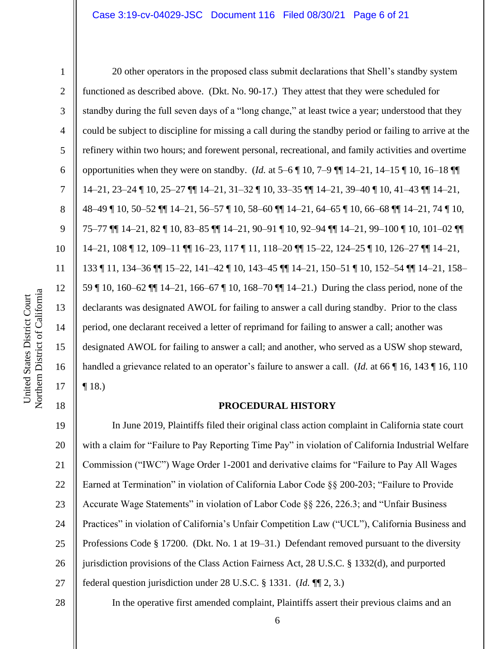2

3

4

5

6

7

8

9

10

11

12

13

14

15

16

17

18

20 other operators in the proposed class submit declarations that Shell's standby system functioned as described above. (Dkt. No. 90-17.) They attest that they were scheduled for standby during the full seven days of a "long change," at least twice a year; understood that they could be subject to discipline for missing a call during the standby period or failing to arrive at the refinery within two hours; and forewent personal, recreational, and family activities and overtime opportunities when they were on standby. (*Id.* at 5–6 ¶ 10, 7–9 ¶¶ 14–21, 14–15 ¶ 10, 16–18 ¶¶ 14–21, 23–24 ¶ 10, 25–27 ¶¶ 14–21, 31–32 ¶ 10, 33–35 ¶¶ 14–21, 39–40 ¶ 10, 41–43 ¶¶ 14–21, 48–49 ¶ 10, 50–52 ¶¶ 14–21, 56–57 ¶ 10, 58–60 ¶¶ 14–21, 64–65 ¶ 10, 66–68 ¶¶ 14–21, 74 ¶ 10, 75–77 ¶¶ 14–21, 82 ¶ 10, 83–85 ¶¶ 14–21, 90–91 ¶ 10, 92–94 ¶¶ 14–21, 99–100 ¶ 10, 101–02 ¶¶ 14–21, 108 ¶ 12, 109–11 ¶¶ 16–23, 117 ¶ 11, 118–20 ¶¶ 15–22, 124–25 ¶ 10, 126–27 ¶¶ 14–21, 133 ¶ 11, 134–36 ¶¶ 15–22, 141–42 ¶ 10, 143–45 ¶¶ 14–21, 150–51 ¶ 10, 152–54 ¶¶ 14–21, 158– 59 ¶ 10, 160–62 ¶¶ 14–21, 166–67 ¶ 10, 168–70 ¶¶ 14–21.) During the class period, none of the declarants was designated AWOL for failing to answer a call during standby. Prior to the class period, one declarant received a letter of reprimand for failing to answer a call; another was designated AWOL for failing to answer a call; and another, who served as a USW shop steward, handled a grievance related to an operator's failure to answer a call. (*Id.* at 66 ¶ 16, 143 ¶ 16, 110  $\P$  18.)

#### **PROCEDURAL HISTORY**

19 20 21 22 23 24 25 26 27 In June 2019, Plaintiffs filed their original class action complaint in California state court with a claim for "Failure to Pay Reporting Time Pay" in violation of California Industrial Welfare Commission ("IWC") Wage Order 1-2001 and derivative claims for "Failure to Pay All Wages Earned at Termination" in violation of California Labor Code §§ 200-203; "Failure to Provide Accurate Wage Statements" in violation of Labor Code §§ 226, 226.3; and "Unfair Business Practices" in violation of California's Unfair Competition Law ("UCL"), California Business and Professions Code § 17200. (Dkt. No. 1 at 19–31.) Defendant removed pursuant to the diversity jurisdiction provisions of the Class Action Fairness Act, 28 U.S.C. § 1332(d), and purported federal question jurisdiction under 28 U.S.C. § 1331. (*Id.* ¶¶ 2, 3.)

28

In the operative first amended complaint, Plaintiffs assert their previous claims and an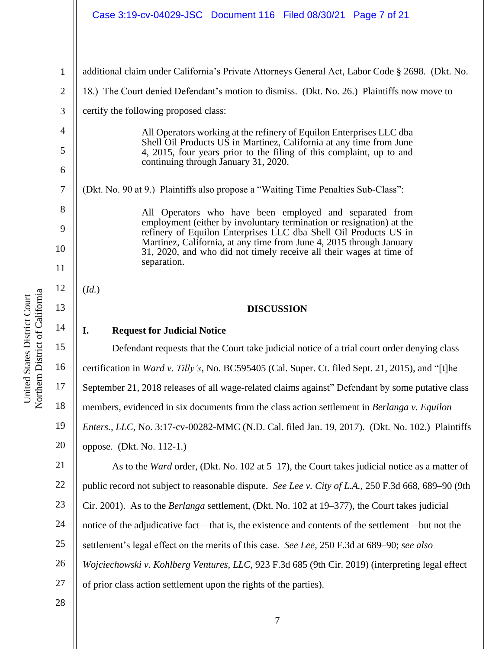|                | Case 3:19-cv-04029-JSC Document 116 Filed 08/30/21 Page 7 of 21                                                                             |
|----------------|---------------------------------------------------------------------------------------------------------------------------------------------|
| 1              | additional claim under California's Private Attorneys General Act, Labor Code § 2698. (Dkt. No.                                             |
| $\overline{2}$ | 18.) The Court denied Defendant's motion to dismiss. (Dkt. No. 26.) Plaintiffs now move to                                                  |
| 3              | certify the following proposed class:                                                                                                       |
| 4              | All Operators working at the refinery of Equilon Enterprises LLC dba                                                                        |
| 5              | Shell Oil Products US in Martinez, California at any time from June<br>4, 2015, four years prior to the filing of this complaint, up to and |
| 6              | continuing through January 31, 2020.                                                                                                        |
| $\overline{7}$ | (Dkt. No. 90 at 9.) Plaintiffs also propose a "Waiting Time Penalties Sub-Class":                                                           |
| 8              | All Operators who have been employed and separated from                                                                                     |
| 9              | employment (either by involuntary termination or resignation) at the<br>refinery of Equilon Enterprises LLC dba Shell Oil Products US in    |
| 10             | Martinez, California, at any time from June 4, 2015 through January<br>31, 2020, and who did not timely receive all their wages at time of  |
| 11             | separation.                                                                                                                                 |
| 12             | (Id.)                                                                                                                                       |
| 13             | <b>DISCUSSION</b>                                                                                                                           |
| 14             | I.<br><b>Request for Judicial Notice</b>                                                                                                    |
| 15             | Defendant requests that the Court take judicial notice of a trial court order denying class                                                 |
|                |                                                                                                                                             |
| 16             | certification in Ward v. Tilly's, No. BC595405 (Cal. Super. Ct. filed Sept. 21, 2015), and "[t]he                                           |
| 17             | September 21, 2018 releases of all wage-related claims against" Defendant by some putative class                                            |
| 18             | members, evidenced in six documents from the class action settlement in Berlanga v. Equilon                                                 |
| 19             | <i>Enters., LLC, No.</i> 3:17-cv-00282-MMC (N.D. Cal. filed Jan. 19, 2017). (Dkt. No. 102.) Plaintiffs                                      |
| 20             | oppose. (Dkt. No. 112-1.)                                                                                                                   |
| 21             | As to the <i>Ward</i> order, (Dkt. No. 102 at $5-17$ ), the Court takes judicial notice as a matter of                                      |
| 22             | public record not subject to reasonable dispute. See Lee v. City of L.A., 250 F.3d 668, 689–90 (9th                                         |
| 23             | Cir. 2001). As to the <i>Berlanga</i> settlement, (Dkt. No. 102 at 19–377), the Court takes judicial                                        |
| 24             | notice of the adjudicative fact—that is, the existence and contents of the settlement—but not the                                           |
| 25             | settlement's legal effect on the merits of this case. See Lee, 250 F.3d at 689–90; see also                                                 |
| 26             | Wojciechowski v. Kohlberg Ventures, LLC, 923 F.3d 685 (9th Cir. 2019) (interpreting legal effect                                            |
| 27             | of prior class action settlement upon the rights of the parties).                                                                           |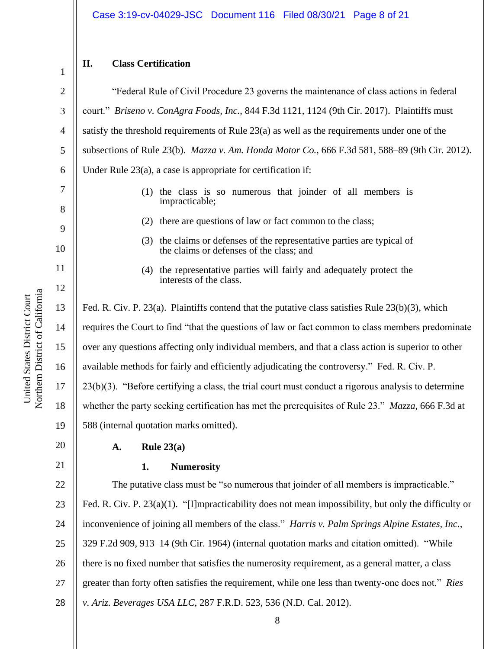| $\overline{2}$ |
|----------------|
| 3              |
| $\overline{4}$ |
| 5              |
| 6              |
| 7              |
| 8              |

10

11

12

20

21

1

## **II. Class Certification**

"Federal Rule of Civil Procedure 23 governs the maintenance of class actions in federal court." *Briseno v. ConAgra Foods, Inc.*, 844 F.3d 1121, 1124 (9th Cir. 2017). Plaintiffs must satisfy the threshold requirements of Rule 23(a) as well as the requirements under one of the subsections of Rule 23(b). *Mazza v. Am. Honda Motor Co.*, 666 F.3d 581, 588–89 (9th Cir. 2012). Under Rule 23(a), a case is appropriate for certification if:

- (1) the class is so numerous that joinder of all members is impracticable;
- (2) there are questions of law or fact common to the class;
- (3) the claims or defenses of the representative parties are typical of the claims or defenses of the class; and
- (4) the representative parties will fairly and adequately protect the interests of the class.

13 14 15 16 17 18 19 Fed. R. Civ. P. 23(a). Plaintiffs contend that the putative class satisfies Rule 23(b)(3), which requires the Court to find "that the questions of law or fact common to class members predominate over any questions affecting only individual members, and that a class action is superior to other available methods for fairly and efficiently adjudicating the controversy." Fed. R. Civ. P. 23(b)(3). "Before certifying a class, the trial court must conduct a rigorous analysis to determine whether the party seeking certification has met the prerequisites of Rule 23." *Mazza*, 666 F.3d at 588 (internal quotation marks omitted).

- **A. Rule 23(a)**
- 

# **1. Numerosity**

22 23 24 25 26 27 28 The putative class must be "so numerous that joinder of all members is impracticable." Fed. R. Civ. P. 23(a)(1). "[I]mpracticability does not mean impossibility, but only the difficulty or inconvenience of joining all members of the class." *Harris v. Palm Springs Alpine Estates, Inc.*, 329 F.2d 909, 913–14 (9th Cir. 1964) (internal quotation marks and citation omitted). "While there is no fixed number that satisfies the numerosity requirement, as a general matter, a class greater than forty often satisfies the requirement, while one less than twenty-one does not." *Ries v. Ariz. Beverages USA LLC*, 287 F.R.D. 523, 536 (N.D. Cal. 2012).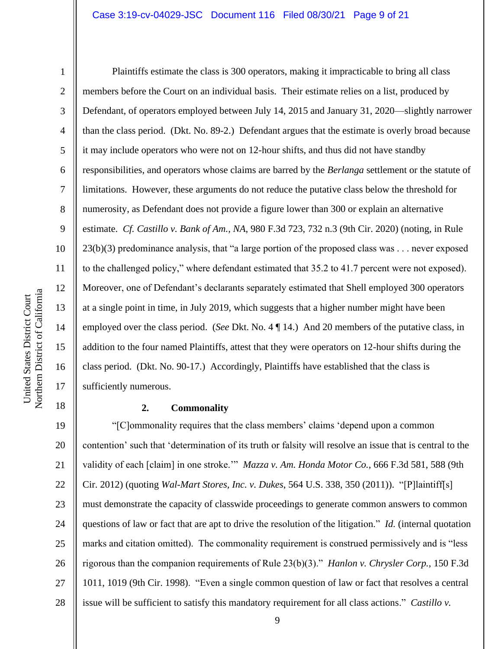#### Case 3:19-cv-04029-JSC Document 116 Filed 08/30/21 Page 9 of 21

1

2

3

4

5

6

7

8

9

10

11

12

13

14

15

16

17

18

Plaintiffs estimate the class is 300 operators, making it impracticable to bring all class members before the Court on an individual basis. Their estimate relies on a list, produced by Defendant, of operators employed between July 14, 2015 and January 31, 2020—slightly narrower than the class period. (Dkt. No. 89-2.) Defendant argues that the estimate is overly broad because it may include operators who were not on 12-hour shifts, and thus did not have standby responsibilities, and operators whose claims are barred by the *Berlanga* settlement or the statute of limitations. However, these arguments do not reduce the putative class below the threshold for numerosity, as Defendant does not provide a figure lower than 300 or explain an alternative estimate. *Cf. Castillo v. Bank of Am., NA*, 980 F.3d 723, 732 n.3 (9th Cir. 2020) (noting, in Rule 23(b)(3) predominance analysis, that "a large portion of the proposed class was . . . never exposed to the challenged policy," where defendant estimated that 35.2 to 41.7 percent were not exposed). Moreover, one of Defendant's declarants separately estimated that Shell employed 300 operators at a single point in time, in July 2019, which suggests that a higher number might have been employed over the class period. (*See* Dkt. No. 4 ¶ 14.) And 20 members of the putative class, in addition to the four named Plaintiffs, attest that they were operators on 12-hour shifts during the class period. (Dkt. No. 90-17.) Accordingly, Plaintiffs have established that the class is sufficiently numerous.

#### **2. Commonality**

19 20 21 22 23 24 25 26 27 28 "[C]ommonality requires that the class members' claims 'depend upon a common contention' such that 'determination of its truth or falsity will resolve an issue that is central to the validity of each [claim] in one stroke.'" *Mazza v. Am. Honda Motor Co.*, 666 F.3d 581, 588 (9th Cir. 2012) (quoting *Wal-Mart Stores, Inc. v. Dukes*, 564 U.S. 338, 350 (2011)). "[P]laintiff[s] must demonstrate the capacity of classwide proceedings to generate common answers to common questions of law or fact that are apt to drive the resolution of the litigation." *Id.* (internal quotation marks and citation omitted). The commonality requirement is construed permissively and is "less rigorous than the companion requirements of Rule 23(b)(3)." *Hanlon v. Chrysler Corp.*, 150 F.3d 1011, 1019 (9th Cir. 1998). "Even a single common question of law or fact that resolves a central issue will be sufficient to satisfy this mandatory requirement for all class actions." *Castillo v.*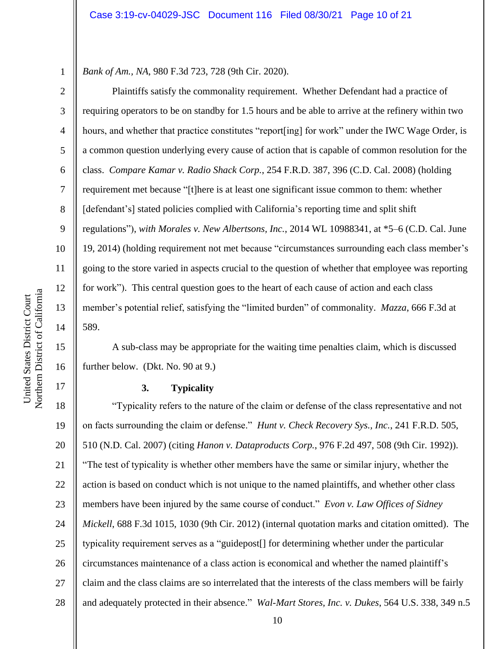*Bank of Am., NA*, 980 F.3d 723, 728 (9th Cir. 2020).

Plaintiffs satisfy the commonality requirement. Whether Defendant had a practice of requiring operators to be on standby for 1.5 hours and be able to arrive at the refinery within two hours, and whether that practice constitutes "report[ing] for work" under the IWC Wage Order, is a common question underlying every cause of action that is capable of common resolution for the class. *Compare Kamar v. Radio Shack Corp.*, 254 F.R.D. 387, 396 (C.D. Cal. 2008) (holding requirement met because "[t]here is at least one significant issue common to them: whether [defendant's] stated policies complied with California's reporting time and split shift regulations"), *with Morales v. New Albertsons, Inc.*, 2014 WL 10988341, at \*5–6 (C.D. Cal. June 19, 2014) (holding requirement not met because "circumstances surrounding each class member's going to the store varied in aspects crucial to the question of whether that employee was reporting for work"). This central question goes to the heart of each cause of action and each class member's potential relief, satisfying the "limited burden" of commonality. *Mazza*, 666 F.3d at 589.

A sub-class may be appropriate for the waiting time penalties claim, which is discussed further below. (Dkt. No. 90 at 9.)

## **3. Typicality**

18 19 20 21 22 23 24 25 26 27 28 "Typicality refers to the nature of the claim or defense of the class representative and not on facts surrounding the claim or defense." *Hunt v. Check Recovery Sys., Inc.*, 241 F.R.D. 505, 510 (N.D. Cal. 2007) (citing *Hanon v. Dataproducts Corp.*, 976 F.2d 497, 508 (9th Cir. 1992)). "The test of typicality is whether other members have the same or similar injury, whether the action is based on conduct which is not unique to the named plaintiffs, and whether other class members have been injured by the same course of conduct." *Evon v. Law Offices of Sidney Mickell*, 688 F.3d 1015, 1030 (9th Cir. 2012) (internal quotation marks and citation omitted). The typicality requirement serves as a "guidepost[] for determining whether under the particular circumstances maintenance of a class action is economical and whether the named plaintiff's claim and the class claims are so interrelated that the interests of the class members will be fairly and adequately protected in their absence." *Wal-Mart Stores, Inc. v. Dukes*, 564 U.S. 338, 349 n.5

1

2

3

4

5

6

7

8

9

10

11

12

13

14

15

16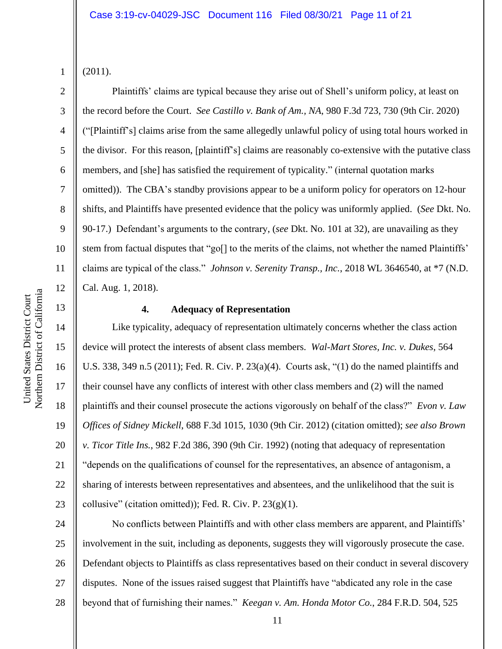Northern District of California Northern District of California United States District Court United States District Court

(2011).

1

2

3

4

5

6

7

8

9

10

11

12

13

14

15

16

17

18

19

20

21

22

23

Plaintiffs' claims are typical because they arise out of Shell's uniform policy, at least on the record before the Court. *See Castillo v. Bank of Am., NA*, 980 F.3d 723, 730 (9th Cir. 2020) ("[Plaintiff's] claims arise from the same allegedly unlawful policy of using total hours worked in the divisor. For this reason, [plaintiff's] claims are reasonably co-extensive with the putative class members, and [she] has satisfied the requirement of typicality." (internal quotation marks omitted)). The CBA's standby provisions appear to be a uniform policy for operators on 12-hour shifts, and Plaintiffs have presented evidence that the policy was uniformly applied. (*See* Dkt. No. 90-17.) Defendant's arguments to the contrary, (*see* Dkt. No. 101 at 32), are unavailing as they stem from factual disputes that "go[] to the merits of the claims, not whether the named Plaintiffs' claims are typical of the class." *Johnson v. Serenity Transp., Inc.*, 2018 WL 3646540, at \*7 (N.D. Cal. Aug. 1, 2018).

**4. Adequacy of Representation**

Like typicality, adequacy of representation ultimately concerns whether the class action device will protect the interests of absent class members. *Wal-Mart Stores, Inc. v. Dukes*, 564 U.S. 338, 349 n.5 (2011); Fed. R. Civ. P. 23(a)(4). Courts ask, "(1) do the named plaintiffs and their counsel have any conflicts of interest with other class members and (2) will the named plaintiffs and their counsel prosecute the actions vigorously on behalf of the class?" *Evon v. Law Offices of Sidney Mickell*, 688 F.3d 1015, 1030 (9th Cir. 2012) (citation omitted); *see also Brown v. Ticor Title Ins.*, 982 F.2d 386, 390 (9th Cir. 1992) (noting that adequacy of representation "depends on the qualifications of counsel for the representatives, an absence of antagonism, a sharing of interests between representatives and absentees, and the unlikelihood that the suit is collusive" (citation omitted)); Fed. R. Civ. P.  $23(g)(1)$ .

24 25 26 27 28 No conflicts between Plaintiffs and with other class members are apparent, and Plaintiffs' involvement in the suit, including as deponents, suggests they will vigorously prosecute the case. Defendant objects to Plaintiffs as class representatives based on their conduct in several discovery disputes. None of the issues raised suggest that Plaintiffs have "abdicated any role in the case beyond that of furnishing their names." *Keegan v. Am. Honda Motor Co.*, 284 F.R.D. 504, 525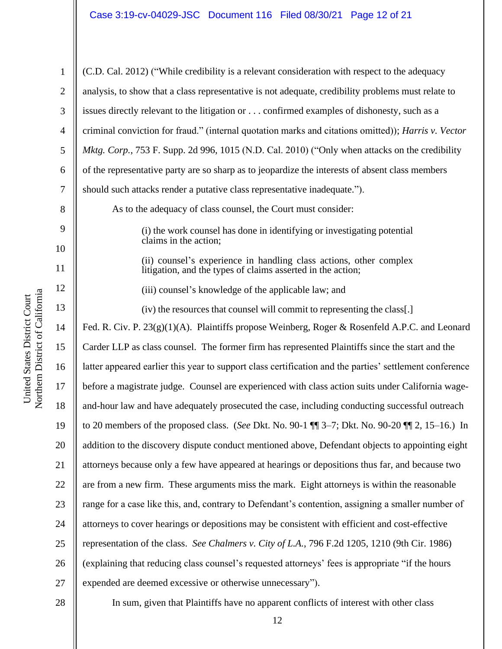1 2 3 4 5 6 7 8 9 10 11 12 13 14 15 16 17 18 19 20 21 22 23 24 25 26 27 28 (C.D. Cal. 2012) ("While credibility is a relevant consideration with respect to the adequacy analysis, to show that a class representative is not adequate, credibility problems must relate to issues directly relevant to the litigation or . . . confirmed examples of dishonesty, such as a criminal conviction for fraud." (internal quotation marks and citations omitted)); *Harris v. Vector Mktg. Corp.*, 753 F. Supp. 2d 996, 1015 (N.D. Cal. 2010) ("Only when attacks on the credibility of the representative party are so sharp as to jeopardize the interests of absent class members should such attacks render a putative class representative inadequate."). As to the adequacy of class counsel, the Court must consider: (i) the work counsel has done in identifying or investigating potential claims in the action; (ii) counsel's experience in handling class actions, other complex litigation, and the types of claims asserted in the action; (iii) counsel's knowledge of the applicable law; and (iv) the resources that counsel will commit to representing the class[.] Fed. R. Civ. P. 23(g)(1)(A). Plaintiffs propose Weinberg, Roger & Rosenfeld A.P.C. and Leonard Carder LLP as class counsel. The former firm has represented Plaintiffs since the start and the latter appeared earlier this year to support class certification and the parties' settlement conference before a magistrate judge. Counsel are experienced with class action suits under California wageand-hour law and have adequately prosecuted the case, including conducting successful outreach to 20 members of the proposed class. (*See* Dkt. No. 90-1 ¶¶ 3–7; Dkt. No. 90-20 ¶¶ 2, 15–16.) In addition to the discovery dispute conduct mentioned above, Defendant objects to appointing eight attorneys because only a few have appeared at hearings or depositions thus far, and because two are from a new firm. These arguments miss the mark. Eight attorneys is within the reasonable range for a case like this, and, contrary to Defendant's contention, assigning a smaller number of attorneys to cover hearings or depositions may be consistent with efficient and cost-effective representation of the class. *See Chalmers v. City of L.A.*, 796 F.2d 1205, 1210 (9th Cir. 1986) (explaining that reducing class counsel's requested attorneys' fees is appropriate "if the hours expended are deemed excessive or otherwise unnecessary"). In sum, given that Plaintiffs have no apparent conflicts of interest with other class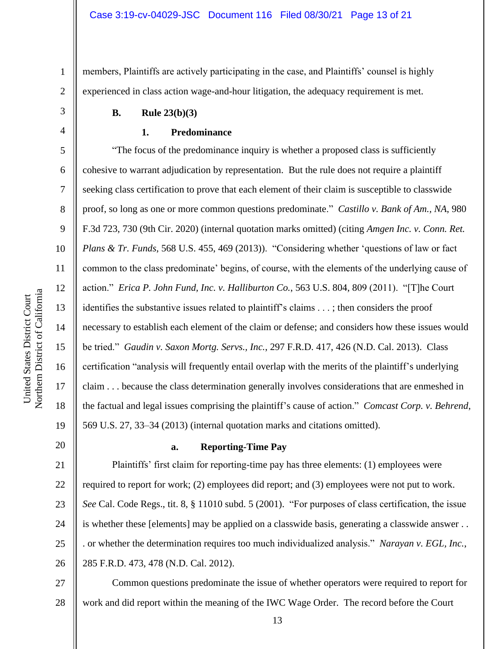members, Plaintiffs are actively participating in the case, and Plaintiffs' counsel is highly experienced in class action wage-and-hour litigation, the adequacy requirement is met.

#### **B. Rule 23(b)(3)**

#### **1. Predominance**

"The focus of the predominance inquiry is whether a proposed class is sufficiently cohesive to warrant adjudication by representation. But the rule does not require a plaintiff seeking class certification to prove that each element of their claim is susceptible to classwide proof, so long as one or more common questions predominate." *Castillo v. Bank of Am., NA*, 980 F.3d 723, 730 (9th Cir. 2020) (internal quotation marks omitted) (citing *Amgen Inc. v. Conn. Ret. Plans & Tr. Funds*, 568 U.S. 455, 469 (2013)). "Considering whether 'questions of law or fact common to the class predominate' begins, of course, with the elements of the underlying cause of action." *Erica P. John Fund, Inc. v. Halliburton Co.*, 563 U.S. 804, 809 (2011). "[T]he Court identifies the substantive issues related to plaintiff's claims . . . ; then considers the proof necessary to establish each element of the claim or defense; and considers how these issues would be tried." *Gaudin v. Saxon Mortg. Servs., Inc.*, 297 F.R.D. 417, 426 (N.D. Cal. 2013). Class certification "analysis will frequently entail overlap with the merits of the plaintiff's underlying claim . . . because the class determination generally involves considerations that are enmeshed in the factual and legal issues comprising the plaintiff's cause of action." *Comcast Corp. v. Behrend*, 569 U.S. 27, 33–34 (2013) (internal quotation marks and citations omitted).

# 20

1

2

3

4

5

6

7

8

9

10

11

12

13

14

15

16

17

18

19

# **a. Reporting-Time Pay**

21 22 23 24 25 26 Plaintiffs' first claim for reporting-time pay has three elements: (1) employees were required to report for work; (2) employees did report; and (3) employees were not put to work. *See* Cal. Code Regs., tit. 8, § 11010 subd. 5 (2001). "For purposes of class certification, the issue is whether these [elements] may be applied on a classwide basis, generating a classwide answer . . . or whether the determination requires too much individualized analysis." *Narayan v. EGL, Inc.*, 285 F.R.D. 473, 478 (N.D. Cal. 2012).

27 28 Common questions predominate the issue of whether operators were required to report for work and did report within the meaning of the IWC Wage Order. The record before the Court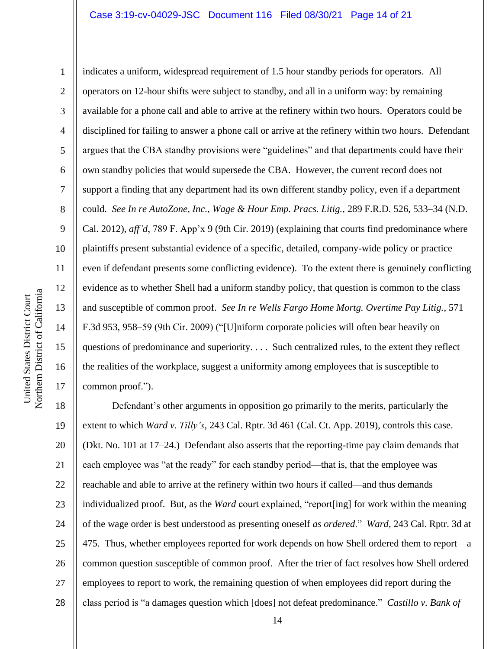10 11 12 Northern District of California Northern District of California 13 14 15 16 17

1

2

3

4

5

6

7

8

9

indicates a uniform, widespread requirement of 1.5 hour standby periods for operators. All operators on 12-hour shifts were subject to standby, and all in a uniform way: by remaining available for a phone call and able to arrive at the refinery within two hours. Operators could be disciplined for failing to answer a phone call or arrive at the refinery within two hours. Defendant argues that the CBA standby provisions were "guidelines" and that departments could have their own standby policies that would supersede the CBA. However, the current record does not support a finding that any department had its own different standby policy, even if a department could. *See In re AutoZone, Inc., Wage & Hour Emp. Pracs. Litig.*, 289 F.R.D. 526, 533–34 (N.D. Cal. 2012), *aff'd*, 789 F. App'x 9 (9th Cir. 2019) (explaining that courts find predominance where plaintiffs present substantial evidence of a specific, detailed, company-wide policy or practice even if defendant presents some conflicting evidence). To the extent there is genuinely conflicting evidence as to whether Shell had a uniform standby policy, that question is common to the class and susceptible of common proof. *See In re Wells Fargo Home Mortg. Overtime Pay Litig.*, 571 F.3d 953, 958–59 (9th Cir. 2009) ("[U]niform corporate policies will often bear heavily on questions of predominance and superiority. . . . Such centralized rules, to the extent they reflect the realities of the workplace, suggest a uniformity among employees that is susceptible to common proof.").

18 19 20 21 22 23 24 25 26 27 28 Defendant's other arguments in opposition go primarily to the merits, particularly the extent to which *Ward v. Tilly's*, 243 Cal. Rptr. 3d 461 (Cal. Ct. App. 2019), controls this case. (Dkt. No. 101 at 17–24.) Defendant also asserts that the reporting-time pay claim demands that each employee was "at the ready" for each standby period—that is, that the employee was reachable and able to arrive at the refinery within two hours if called—and thus demands individualized proof. But, as the *Ward* court explained, "report[ing] for work within the meaning of the wage order is best understood as presenting oneself *as ordered*." *Ward*, 243 Cal. Rptr. 3d at 475. Thus, whether employees reported for work depends on how Shell ordered them to report—a common question susceptible of common proof. After the trier of fact resolves how Shell ordered employees to report to work, the remaining question of when employees did report during the class period is "a damages question which [does] not defeat predominance." *Castillo v. Bank of* 

United States District Court

United States District Court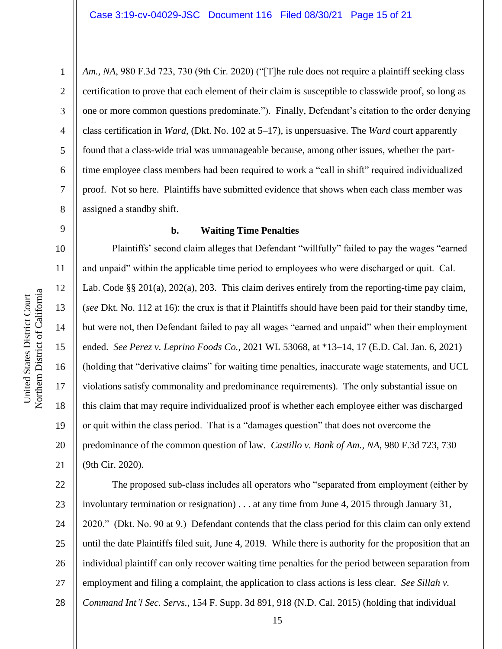*Am., NA*, 980 F.3d 723, 730 (9th Cir. 2020) ("[T]he rule does not require a plaintiff seeking class certification to prove that each element of their claim is susceptible to classwide proof, so long as one or more common questions predominate."). Finally, Defendant's citation to the order denying class certification in *Ward*, (Dkt. No. 102 at 5–17), is unpersuasive. The *Ward* court apparently found that a class-wide trial was unmanageable because, among other issues, whether the parttime employee class members had been required to work a "call in shift" required individualized proof. Not so here. Plaintiffs have submitted evidence that shows when each class member was assigned a standby shift.

# 9

10

11

12

13

14

15

16

17

18

19

20

21

1

2

3

4

5

6

7

8

#### **b. Waiting Time Penalties**

Plaintiffs' second claim alleges that Defendant "willfully" failed to pay the wages "earned and unpaid" within the applicable time period to employees who were discharged or quit. Cal. Lab. Code §§ 201(a), 202(a), 203. This claim derives entirely from the reporting-time pay claim, (*see* Dkt. No. 112 at 16): the crux is that if Plaintiffs should have been paid for their standby time, but were not, then Defendant failed to pay all wages "earned and unpaid" when their employment ended. *See Perez v. Leprino Foods Co.*, 2021 WL 53068, at \*13–14, 17 (E.D. Cal. Jan. 6, 2021) (holding that "derivative claims" for waiting time penalties, inaccurate wage statements, and UCL violations satisfy commonality and predominance requirements). The only substantial issue on this claim that may require individualized proof is whether each employee either was discharged or quit within the class period. That is a "damages question" that does not overcome the predominance of the common question of law. *Castillo v. Bank of Am., NA*, 980 F.3d 723, 730 (9th Cir. 2020).

22 23 24 25 26 27 28 The proposed sub-class includes all operators who "separated from employment (either by involuntary termination or resignation) . . . at any time from June 4, 2015 through January 31, 2020." (Dkt. No. 90 at 9.) Defendant contends that the class period for this claim can only extend until the date Plaintiffs filed suit, June 4, 2019. While there is authority for the proposition that an individual plaintiff can only recover waiting time penalties for the period between separation from employment and filing a complaint, the application to class actions is less clear. *See Sillah v. Command Int'l Sec. Servs.*, 154 F. Supp. 3d 891, 918 (N.D. Cal. 2015) (holding that individual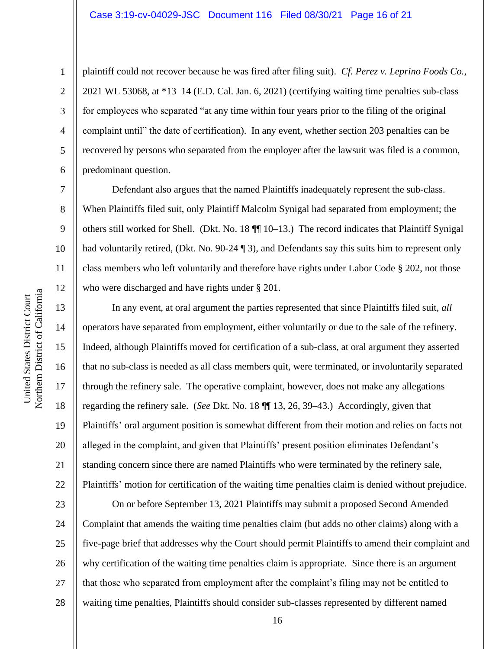6

7

8

9

10

11

12

13

14

15

16

17

18

19

20

21

22

1

plaintiff could not recover because he was fired after filing suit). *Cf. Perez v. Leprino Foods Co.*, 2021 WL 53068, at \*13–14 (E.D. Cal. Jan. 6, 2021) (certifying waiting time penalties sub-class for employees who separated "at any time within four years prior to the filing of the original complaint until" the date of certification). In any event, whether section 203 penalties can be recovered by persons who separated from the employer after the lawsuit was filed is a common, predominant question.

Defendant also argues that the named Plaintiffs inadequately represent the sub-class. When Plaintiffs filed suit, only Plaintiff Malcolm Synigal had separated from employment; the others still worked for Shell. (Dkt. No. 18 ¶¶ 10–13.) The record indicates that Plaintiff Synigal had voluntarily retired, (Dkt. No. 90-24 ¶ 3), and Defendants say this suits him to represent only class members who left voluntarily and therefore have rights under Labor Code § 202, not those who were discharged and have rights under § 201.

In any event, at oral argument the parties represented that since Plaintiffs filed suit, *all* operators have separated from employment, either voluntarily or due to the sale of the refinery. Indeed, although Plaintiffs moved for certification of a sub-class, at oral argument they asserted that no sub-class is needed as all class members quit, were terminated, or involuntarily separated through the refinery sale. The operative complaint, however, does not make any allegations regarding the refinery sale. (*See* Dkt. No. 18 ¶¶ 13, 26, 39–43.) Accordingly, given that Plaintiffs' oral argument position is somewhat different from their motion and relies on facts not alleged in the complaint, and given that Plaintiffs' present position eliminates Defendant's standing concern since there are named Plaintiffs who were terminated by the refinery sale, Plaintiffs' motion for certification of the waiting time penalties claim is denied without prejudice.

23 24 25 26 27 28 On or before September 13, 2021 Plaintiffs may submit a proposed Second Amended Complaint that amends the waiting time penalties claim (but adds no other claims) along with a five-page brief that addresses why the Court should permit Plaintiffs to amend their complaint and why certification of the waiting time penalties claim is appropriate. Since there is an argument that those who separated from employment after the complaint's filing may not be entitled to waiting time penalties, Plaintiffs should consider sub-classes represented by different named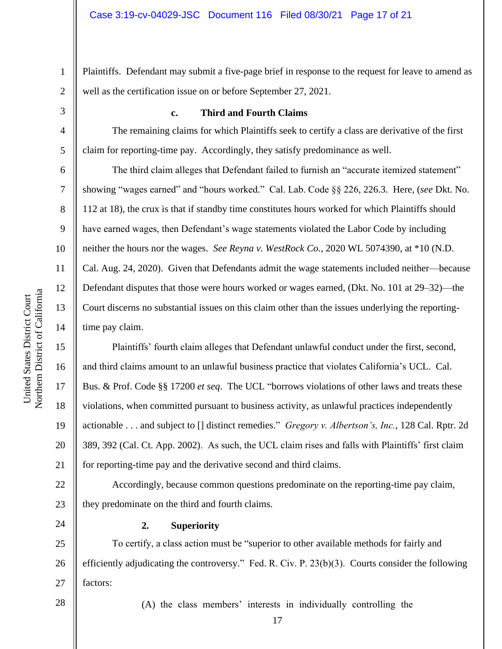1 2 Plaintiffs. Defendant may submit a five-page brief in response to the request for leave to amend as well as the certification issue on or before September 27, 2021.

3 4

5

6

7

8

9

10

11

12

13

14

15

16

17

18

19

20

21

24

#### **c. Third and Fourth Claims**

The remaining claims for which Plaintiffs seek to certify a class are derivative of the first claim for reporting-time pay. Accordingly, they satisfy predominance as well.

The third claim alleges that Defendant failed to furnish an "accurate itemized statement" showing "wages earned" and "hours worked." Cal. Lab. Code §§ 226, 226.3. Here, (*see* Dkt. No. 112 at 18), the crux is that if standby time constitutes hours worked for which Plaintiffs should have earned wages, then Defendant's wage statements violated the Labor Code by including neither the hours nor the wages. *See Reyna v. WestRock Co.*, 2020 WL 5074390, at \*10 (N.D. Cal. Aug. 24, 2020). Given that Defendants admit the wage statements included neither—because Defendant disputes that those were hours worked or wages earned, (Dkt. No. 101 at 29–32)—the Court discerns no substantial issues on this claim other than the issues underlying the reportingtime pay claim.

Plaintiffs' fourth claim alleges that Defendant unlawful conduct under the first, second, and third claims amount to an unlawful business practice that violates California's UCL. Cal. Bus. & Prof. Code §§ 17200 *et seq*. The UCL "borrows violations of other laws and treats these violations, when committed pursuant to business activity, as unlawful practices independently actionable . . . and subject to [] distinct remedies." *Gregory v. Albertson's, Inc.*, 128 Cal. Rptr. 2d 389, 392 (Cal. Ct. App. 2002). As such, the UCL claim rises and falls with Plaintiffs' first claim for reporting-time pay and the derivative second and third claims.

22 23 Accordingly, because common questions predominate on the reporting-time pay claim, they predominate on the third and fourth claims.

**2. Superiority**

25 26 27 To certify, a class action must be "superior to other available methods for fairly and efficiently adjudicating the controversy." Fed. R. Civ. P. 23(b)(3). Courts consider the following factors:

28

(A) the class members' interests in individually controlling the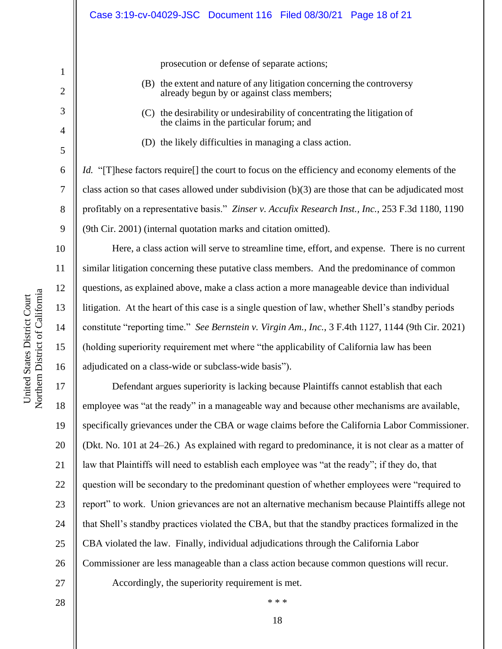prosecution or defense of separate actions;

- (B) the extent and nature of any litigation concerning the controversy already begun by or against class members;
- (C) the desirability or undesirability of concentrating the litigation of the claims in the particular forum; and
- (D) the likely difficulties in managing a class action.

*Id.* "[T]hese factors require]] the court to focus on the efficiency and economy elements of the class action so that cases allowed under subdivision  $(b)(3)$  are those that can be adjudicated most profitably on a representative basis." *Zinser v. Accufix Research Inst., Inc.*, 253 F.3d 1180, 1190 (9th Cir. 2001) (internal quotation marks and citation omitted).

Here, a class action will serve to streamline time, effort, and expense. There is no current similar litigation concerning these putative class members. And the predominance of common questions, as explained above, make a class action a more manageable device than individual litigation. At the heart of this case is a single question of law, whether Shell's standby periods constitute "reporting time." *See Bernstein v. Virgin Am., Inc.*, 3 F.4th 1127, 1144 (9th Cir. 2021) (holding superiority requirement met where "the applicability of California law has been adjudicated on a class-wide or subclass-wide basis").

17 18 19 20 21 22 23 24 25 26 27 Defendant argues superiority is lacking because Plaintiffs cannot establish that each employee was "at the ready" in a manageable way and because other mechanisms are available, specifically grievances under the CBA or wage claims before the California Labor Commissioner. (Dkt. No. 101 at 24–26.) As explained with regard to predominance, it is not clear as a matter of law that Plaintiffs will need to establish each employee was "at the ready"; if they do, that question will be secondary to the predominant question of whether employees were "required to report" to work. Union grievances are not an alternative mechanism because Plaintiffs allege not that Shell's standby practices violated the CBA, but that the standby practices formalized in the CBA violated the law. Finally, individual adjudications through the California Labor Commissioner are less manageable than a class action because common questions will recur. Accordingly, the superiority requirement is met.

United States District Court

1

2

3

4

5

6

7

8

9

10

11

12

13

14

15

16

28

18

\* \* \*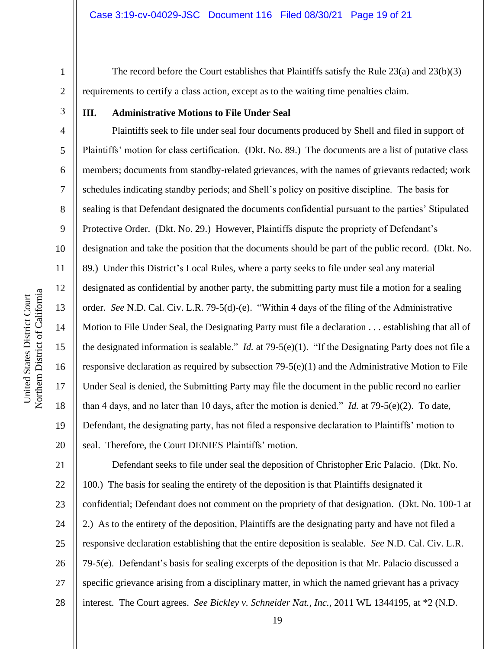4

5

6

7

8

9

10

11

12

13

14

15

16

17

18

19

20

The record before the Court establishes that Plaintiffs satisfy the Rule 23(a) and 23(b)(3) requirements to certify a class action, except as to the waiting time penalties claim.

## **III. Administrative Motions to File Under Seal**

Plaintiffs seek to file under seal four documents produced by Shell and filed in support of Plaintiffs' motion for class certification. (Dkt. No. 89.) The documents are a list of putative class members; documents from standby-related grievances, with the names of grievants redacted; work schedules indicating standby periods; and Shell's policy on positive discipline. The basis for sealing is that Defendant designated the documents confidential pursuant to the parties' Stipulated Protective Order. (Dkt. No. 29.) However, Plaintiffs dispute the propriety of Defendant's designation and take the position that the documents should be part of the public record. (Dkt. No. 89.) Under this District's Local Rules, where a party seeks to file under seal any material designated as confidential by another party, the submitting party must file a motion for a sealing order. *See* N.D. Cal. Civ. L.R. 79-5(d)-(e). "Within 4 days of the filing of the Administrative Motion to File Under Seal, the Designating Party must file a declaration . . . establishing that all of the designated information is sealable." *Id.* at 79-5(e)(1). "If the Designating Party does not file a responsive declaration as required by subsection  $79-5(e)(1)$  and the Administrative Motion to File Under Seal is denied, the Submitting Party may file the document in the public record no earlier than 4 days, and no later than 10 days, after the motion is denied." *Id.* at 79-5(e)(2). To date, Defendant, the designating party, has not filed a responsive declaration to Plaintiffs' motion to seal. Therefore, the Court DENIES Plaintiffs' motion.

21 22 23 24 25 26 27 28 Defendant seeks to file under seal the deposition of Christopher Eric Palacio. (Dkt. No. 100.) The basis for sealing the entirety of the deposition is that Plaintiffs designated it confidential; Defendant does not comment on the propriety of that designation. (Dkt. No. 100-1 at 2.) As to the entirety of the deposition, Plaintiffs are the designating party and have not filed a responsive declaration establishing that the entire deposition is sealable. *See* N.D. Cal. Civ. L.R. 79-5(e). Defendant's basis for sealing excerpts of the deposition is that Mr. Palacio discussed a specific grievance arising from a disciplinary matter, in which the named grievant has a privacy interest. The Court agrees. *See Bickley v. Schneider Nat., Inc.*, 2011 WL 1344195, at \*2 (N.D.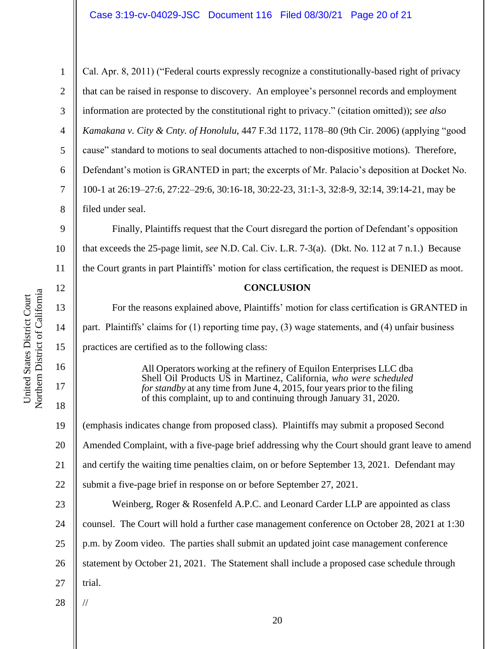Northern District of California Northern District of California United States District Court United States District Court

14

15

16

17

18

1 2 3 4 5 6 7 8 9 10 11 12 13 Cal. Apr. 8, 2011) ("Federal courts expressly recognize a constitutionally-based right of privacy that can be raised in response to discovery. An employee's personnel records and employment information are protected by the constitutional right to privacy." (citation omitted)); *see also Kamakana v. City & Cnty. of Honolulu*, 447 F.3d 1172, 1178–80 (9th Cir. 2006) (applying "good cause" standard to motions to seal documents attached to non-dispositive motions). Therefore, Defendant's motion is GRANTED in part; the excerpts of Mr. Palacio's deposition at Docket No. 100-1 at 26:19–27:6, 27:22–29:6, 30:16-18, 30:22-23, 31:1-3, 32:8-9, 32:14, 39:14-21, may be filed under seal. Finally, Plaintiffs request that the Court disregard the portion of Defendant's opposition that exceeds the 25-page limit, *see* N.D. Cal. Civ. L.R. 7-3(a). (Dkt. No. 112 at 7 n.1.) Because the Court grants in part Plaintiffs' motion for class certification, the request is DENIED as moot. **CONCLUSION** For the reasons explained above, Plaintiffs' motion for class certification is GRANTED in

part. Plaintiffs' claims for (1) reporting time pay, (3) wage statements, and (4) unfair business practices are certified as to the following class:

> All Operators working at the refinery of Equilon Enterprises LLC dba Shell Oil Products US in Martinez, California, *who were scheduled for standby* at any time from June 4, 2015, four years prior to the filing of this complaint, up to and continuing through January 31, 2020.

19 20 21 22 23 24 (emphasis indicates change from proposed class). Plaintiffs may submit a proposed Second Amended Complaint, with a five-page brief addressing why the Court should grant leave to amend and certify the waiting time penalties claim, on or before September 13, 2021. Defendant may submit a five-page brief in response on or before September 27, 2021. Weinberg, Roger & Rosenfeld A.P.C. and Leonard Carder LLP are appointed as class counsel. The Court will hold a further case management conference on October 28, 2021 at 1:30

p.m. by Zoom video. The parties shall submit an updated joint case management conference

26 statement by October 21, 2021. The Statement shall include a proposed case schedule through

27 trial.

//

28